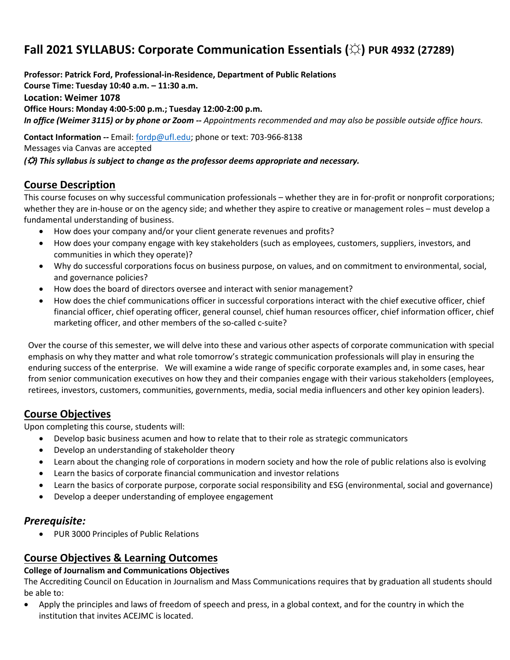# **Fall 2021 SYLLABUS: Corporate Communication Essentials (☼) PUR 4932 (27289)**

**Professor: Patrick Ford, Professional-in-Residence, Department of Public Relations Course Time: Tuesday 10:40 a.m. – 11:30 a.m. Location: Weimer 1078 Office Hours: Monday 4:00-5:00 p.m.; Tuesday 12:00-2:00 p.m.** *In office (Weimer 3115) or by phone or Zoom -- Appointments recommended and may also be possible outside office hours.* **Contact Information --** Email: [fordp@ufl.edu;](mailto:fordp@ufl.edu) phone or text: 703-966-8138

Messages via Canvas are accepted

*(*☼*) This syllabus is subject to change as the professor deems appropriate and necessary.*

# **Course Description**

This course focuses on why successful communication professionals – whether they are in for-profit or nonprofit corporations; whether they are in-house or on the agency side; and whether they aspire to creative or management roles – must develop a fundamental understanding of business.

- How does your company and/or your client generate revenues and profits?
- How does your company engage with key stakeholders (such as employees, customers, suppliers, investors, and communities in which they operate)?
- Why do successful corporations focus on business purpose, on values, and on commitment to environmental, social, and governance policies?
- How does the board of directors oversee and interact with senior management?
- How does the chief communications officer in successful corporations interact with the chief executive officer, chief financial officer, chief operating officer, general counsel, chief human resources officer, chief information officer, chief marketing officer, and other members of the so-called c-suite?

Over the course of this semester, we will delve into these and various other aspects of corporate communication with special emphasis on why they matter and what role tomorrow's strategic communication professionals will play in ensuring the enduring success of the enterprise. We will examine a wide range of specific corporate examples and, in some cases, hear from senior communication executives on how they and their companies engage with their various stakeholders (employees, retirees, investors, customers, communities, governments, media, social media influencers and other key opinion leaders).

# **Course Objectives**

Upon completing this course, students will:

- Develop basic business acumen and how to relate that to their role as strategic communicators
- Develop an understanding of stakeholder theory
- Learn about the changing role of corporations in modern society and how the role of public relations also is evolving
- Learn the basics of corporate financial communication and investor relations
- Learn the basics of corporate purpose, corporate social responsibility and ESG (environmental, social and governance)
- Develop a deeper understanding of employee engagement

# *Prerequisite:*

• PUR 3000 Principles of Public Relations

# **Course Objectives & Learning Outcomes**

#### **College of Journalism and Communications Objectives**

The Accrediting Council on Education in Journalism and Mass Communications requires that by graduation all students should be able to:

• Apply the principles and laws of freedom of speech and press, in a global context, and for the country in which the institution that invites ACEJMC is located.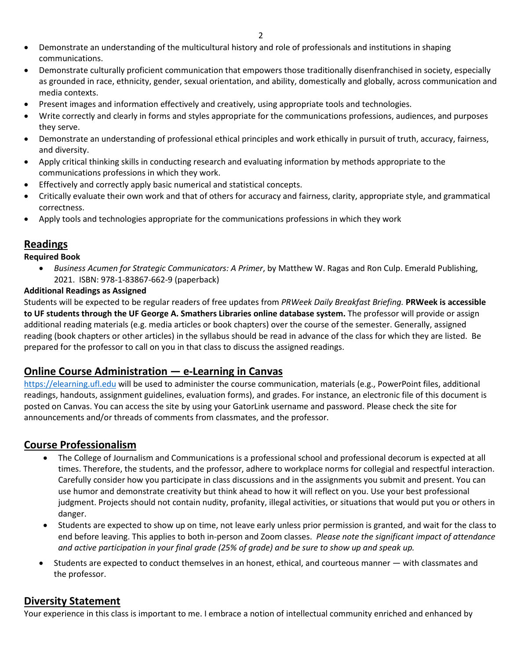- Demonstrate an understanding of the multicultural history and role of professionals and institutions in shaping communications.
- Demonstrate culturally proficient communication that empowers those traditionally disenfranchised in society, especially as grounded in race, ethnicity, gender, sexual orientation, and ability, domestically and globally, across communication and media contexts.
- Present images and information effectively and creatively, using appropriate tools and technologies.
- Write correctly and clearly in forms and styles appropriate for the communications professions, audiences, and purposes they serve.
- Demonstrate an understanding of professional ethical principles and work ethically in pursuit of truth, accuracy, fairness, and diversity.
- Apply critical thinking skills in conducting research and evaluating information by methods appropriate to the communications professions in which they work.
- Effectively and correctly apply basic numerical and statistical concepts.
- Critically evaluate their own work and that of others for accuracy and fairness, clarity, appropriate style, and grammatical correctness.
- Apply tools and technologies appropriate for the communications professions in which they work

# **Readings**

#### **Required Book**

• *Business Acumen for Strategic Communicators: A Primer*, by Matthew W. Ragas and Ron Culp. Emerald Publishing, 2021. ISBN: 978-1-83867-662-9 (paperback)

#### **Additional Readings as Assigned**

Students will be expected to be regular readers of free updates from *PRWeek Daily Breakfast Briefing.* **PRWeek is accessible to UF students through the UF George A. Smathers Libraries online database system.** The professor will provide or assign additional reading materials (e.g. media articles or book chapters) over the course of the semester. Generally, assigned reading (book chapters or other articles) in the syllabus should be read in advance of the class for which they are listed. Be prepared for the professor to call on you in that class to discuss the assigned readings.

# **Online Course Administration — e-Learning in Canvas**

[https://elearning.ufl.edu](https://elearning.ufl.edu/) will be used to administer the course communication, materials (e.g., PowerPoint files, additional readings, handouts, assignment guidelines, evaluation forms), and grades. For instance, an electronic file of this document is posted on Canvas. You can access the site by using your GatorLink username and password. Please check the site for announcements and/or threads of comments from classmates, and the professor.

# **Course Professionalism**

- The College of Journalism and Communications is a professional school and professional decorum is expected at all times. Therefore, the students, and the professor, adhere to workplace norms for collegial and respectful interaction. Carefully consider how you participate in class discussions and in the assignments you submit and present. You can use humor and demonstrate creativity but think ahead to how it will reflect on you. Use your best professional judgment. Projects should not contain nudity, profanity, illegal activities, or situations that would put you or others in danger.
- Students are expected to show up on time, not leave early unless prior permission is granted, and wait for the class to end before leaving. This applies to both in-person and Zoom classes. *Please note the significant impact of attendance and active participation in your final grade (25% of grade) and be sure to show up and speak up.*
- Students are expected to conduct themselves in an honest, ethical, and courteous manner with classmates and the professor.

# **Diversity Statement**

Your experience in this class is important to me. I embrace a notion of intellectual community enriched and enhanced by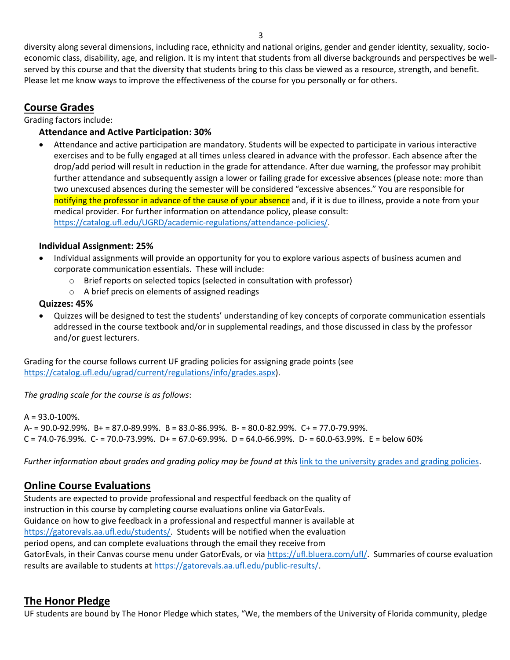diversity along several dimensions, including race, ethnicity and national origins, gender and gender identity, sexuality, socioeconomic class, disability, age, and religion. It is my intent that students from all diverse backgrounds and perspectives be wellserved by this course and that the diversity that students bring to this class be viewed as a resource, strength, and benefit. Please let me know ways to improve the effectiveness of the course for you personally or for others.

# **Course Grades**

Grading factors include:

#### **Attendance and Active Participation: 30%**

• Attendance and active participation are mandatory. Students will be expected to participate in various interactive exercises and to be fully engaged at all times unless cleared in advance with the professor. Each absence after the drop/add period will result in reduction in the grade for attendance. After due warning, the professor may prohibit further attendance and subsequently assign a lower or failing grade for excessive absences (please note: more than two unexcused absences during the semester will be considered "excessive absences." You are responsible for notifying the professor in advance of the cause of your absence and, if it is due to illness, provide a note from your medical provider. For further information on attendance policy, please consult: [https://catalog.ufl.edu/UGRD/academic-regulations/attendance-policies/.](https://catalog.ufl.edu/UGRD/academic-regulations/attendance-policies/)

#### **Individual Assignment: 25%**

- Individual assignments will provide an opportunity for you to explore various aspects of business acumen and corporate communication essentials. These will include:
	- o Brief reports on selected topics (selected in consultation with professor)
	- o A brief precis on elements of assigned readings

#### **Quizzes: 45%**

• Quizzes will be designed to test the students' understanding of key concepts of corporate communication essentials addressed in the course textbook and/or in supplemental readings, and those discussed in class by the professor and/or guest lecturers.

Grading for the course follows current UF grading policies for assigning grade points (see [https://catalog.ufl.edu/ugrad/current/regulations/info/grades.aspx\)](https://catalog.ufl.edu/ugrad/current/regulations/info/grades.aspx).

*The grading scale for the course is as follows*:

 $A = 93.0 - 100\%$ . A- = 90.0-92.99%. B+ = 87.0-89.99%. B = 83.0-86.99%. B- = 80.0-82.99%. C+ = 77.0-79.99%.  $C = 74.0 - 76.99\%$ .  $C = 70.0 - 73.99\%$ .  $D + 56.0 - 69.99\%$ .  $D = 64.0 - 66.99\%$ .  $D - 60.0 - 63.99\%$ .  $E =$  below 60%

*Further information about grades and grading policy may be found at this* [link to the university grades and grading policies.](https://catalog.ufl.edu/UGRD/academic-regulations/grades-grading-policies/)

# **Online Course Evaluations**

Students are expected to provide professional and respectful feedback on the quality of instruction in this course by completing course evaluations online via GatorEvals. Guidance on how to give feedback in a professional and respectful manner is available at [https://gatorevals.aa.ufl.edu/students/.](https://gatorevals.aa.ufl.edu/students/) Students will be notified when the evaluation period opens, and can complete evaluations through the email they receive from GatorEvals, in their Canvas course menu under GatorEvals, or via [https://ufl.bluera.com/ufl/.](https://ufl.bluera.com/ufl/) Summaries of course evaluation results are available to students at [https://gatorevals.aa.ufl.edu/public-results/.](https://gatorevals.aa.ufl.edu/public-results/)

# **The Honor Pledge**

UF students are bound by The Honor Pledge which states, "We, the members of the University of Florida community, pledge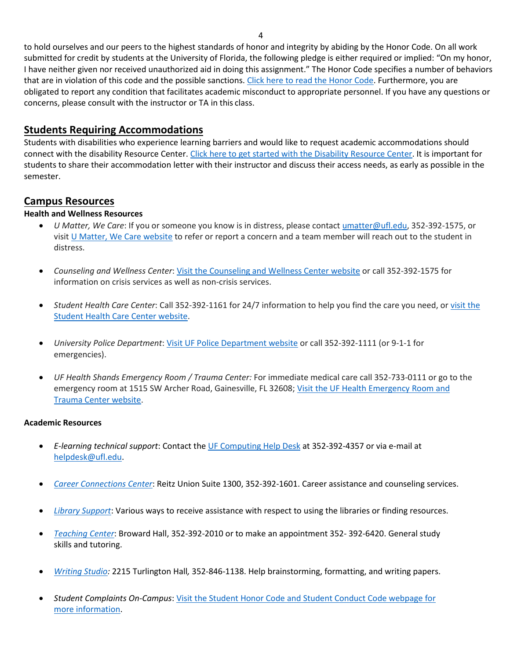4

to hold ourselves and our peers to the highest standards of honor and integrity by abiding by the Honor Code. On all work submitted for credit by students at the University of Florida, the following pledge is either required or implied: "On my honor, I have neither given nor received unauthorized aid in doing this assignment." The Honor Code specifies a number of behaviors that are in violation of this code and the possible sanctions[. Click here to read the Honor Code.](https://sccr.dso.ufl.edu/process/student-conduct-code/) Furthermore, you are obligated to report any condition that facilitates academic misconduct to appropriate personnel. If you have any questions or concerns, please consult with the instructor or TA in this class.

# **Students Requiring Accommodations**

Students with disabilities who experience learning barriers and would like to request academic accommodations should connect with the disability Resource Center[. Click here to get started with the Disability Resource Center.](https://disability.ufl.edu/students/get-started/) It is important for students to share their accommodation letter with their instructor and discuss their access needs, as early as possible in the semester.

# **Campus Resources**

# **Health and Wellness Resources**

- *U Matter, We Care*: If you or someone you know is in distress, please contact [umatter@ufl.edu, 3](mailto:umatter@ufl.edu)52-392-1575, or visit [U Matter, We Care website](https://umatter.ufl.edu/) to refer or report a concern and a team member will reach out to the student in distress.
- *Counseling and Wellness Center*: [Visit the Counseling and Wellness Center website](https://counseling.ufl.edu/) or call 352-392-1575 for information on crisis services as well as non-crisis services.
- *Student Health Care Center*: Call 352-392-1161 for 24/7 information to help you find the care you need, or [visit the](https://shcc.ufl.edu/)  [Student Health Care Center website.](https://shcc.ufl.edu/)
- *University Police Department*: [Visit UF Police Department website](https://police.ufl.edu/) or call 352-392-1111 (or 9-1-1 for emergencies).
- *UF Health Shands Emergency Room / Trauma Center:* For immediate medical care call 352-733-0111 or go to the emergency room at 1515 SW Archer Road, Gainesville, FL 32608[; Visit the UF Health Emergency Room and](https://ufhealth.org/emergency-room-trauma-center)  [Trauma Center website.](https://ufhealth.org/emergency-room-trauma-center)

# **Academic Resources**

- *E-learning technical support*: Contact th[e UF Computing Help Desk](http://helpdesk.ufl.edu/) at 352-392-4357 or via e-mail at [helpdesk@ufl.edu.](mailto:helpdesk@ufl.edu)
- *[Career Connections Center](https://career.ufl.edu/)*: Reitz Union Suite 1300, 352-392-1601. Career assistance and counseling services.
- *[Library Support](https://cms.uflib.ufl.edu/ask)*: Various ways to receive assistance with respect to using the libraries or finding resources.
- *[Teaching Center](https://teachingcenter.ufl.edu/)*: Broward Hall, 352-392-2010 or to make an appointment 352- 392-6420. General study skills and tutoring.
- *Writing Studio:* 2215 Turlington Hall*,* 352-846-1138. Help brainstorming, formatting, and writing papers.
- *Student Complaints On-Campus*: [Visit the Student Honor Code and Student Conduct Code webpage for](https://sccr.dso.ufl.edu/policies/student-honor-%20code-student-conduct-code/)  [more information.](https://sccr.dso.ufl.edu/policies/student-honor-%20code-student-conduct-code/)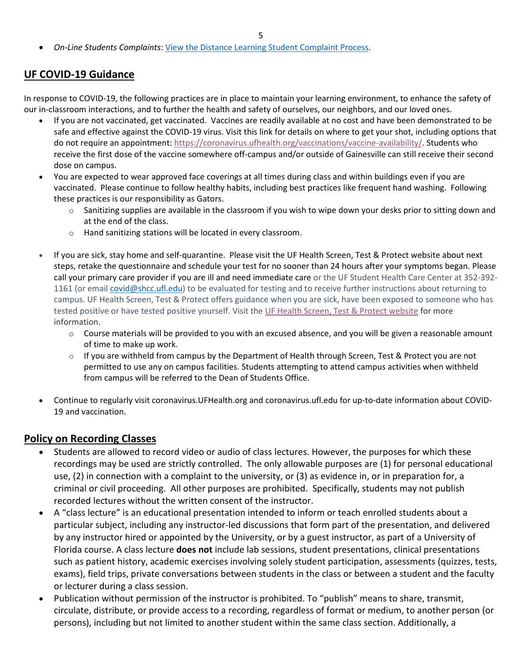• *On-Line Students Complaints*[: View the Distance Learning Student Complaint Process.](https://distance.ufl.edu/getting-help/student-complaint-process/)

# **UF COVID-19 Guidance**

In response to COVID-19, the following practices are in place to maintain your learning environment, to enhance the safety of our in-classroom interactions, and to further the health and safety of ourselves, our neighbors, and our loved ones.

- If you are not vaccinated, get vaccinated. Vaccines are readily available at no cost and have been demonstrated to be safe and effective against the COVID-19 virus. Visit this link for details on where to get your shot, including options that do not require an appointment: [https://coronavirus.ufhealth.org/vaccinations/vaccine-availability/.](https://coronavirus.ufhealth.org/vaccinations/vaccine-availability/) Students who receive the first dose of the vaccine somewhere off-campus and/or outside of Gainesville can still receive their second dose on campus.
- You are expected to wear approved face coverings at all times during class and within buildings even if you are vaccinated. Please continue to follow healthy habits, including best practices like frequent hand washing. Following these practices is our responsibility as Gators.
	- $\circ$  Sanitizing supplies are available in the classroom if you wish to wipe down your desks prior to sitting down and at the end of the class.
	- o Hand sanitizing stations will be located in every classroom.
- If you are sick, stay home and self-quarantine. Please visit the UF Health Screen, Test & Protect website about next steps, retake the questionnaire and schedule your test for no sooner than 24 hours after your symptoms began. Please call your primary care provider if you are ill and need immediate care or the UF Student Health Care Center at 352-392- 1161 (or email [covid@shcc.ufl.edu\)](mailto:covid@shcc.ufl.edu) to be evaluated for testing and to receive further instructions about returning to campus. UF Health Screen, Test & Protect offers guidance when you are sick, have been exposed to someone who has tested positive or have tested positive yourself. Visit the [UF Health Screen, Test & Protect website](https://click.info.gator360.ufl.edu/?qs=8f0d5e01a3f7385148f144e2089093522a358a8d85cb9db73c31675d3c5e5c0d27748d40c212f544822551342f1912ea5b4f2b890d5952e8) for more information.
	- $\circ$  Course materials will be provided to you with an excused absence, and you will be given a reasonable amount of time to make up work.
	- $\circ$  If you are withheld from campus by the Department of Health through Screen, Test & Protect you are not permitted to use any on campus facilities. Students attempting to attend campus activities when withheld from campus will be referred to the Dean of Students Office.
- Continue to regularly visit coronavirus.UFHealth.org and coronavirus.ufl.edu for up-to-date information about COVID-19 and vaccination.

# **Policy on Recording Classes**

- Students are allowed to record video or audio of class lectures. However, the purposes for which these recordings may be used are strictly controlled. The only allowable purposes are (1) for personal educational use, (2) in connection with a complaint to the university, or (3) as evidence in, or in preparation for, a criminal or civil proceeding. All other purposes are prohibited. Specifically, students may not publish recorded lectures without the written consent of the instructor.
- A "class lecture" is an educational presentation intended to inform or teach enrolled students about a particular subject, including any instructor-led discussions that form part of the presentation, and delivered by any instructor hired or appointed by the University, or by a guest instructor, as part of a University of Florida course. A class lecture **does not** include lab sessions, student presentations, clinical presentations such as patient history, academic exercises involving solely student participation, assessments (quizzes, tests, exams), field trips, private conversations between students in the class or between a student and the faculty or lecturer during a class session.
- Publication without permission of the instructor is prohibited. To "publish" means to share, transmit, circulate, distribute, or provide access to a recording, regardless of format or medium, to another person (or persons), including but not limited to another student within the same class section. Additionally, a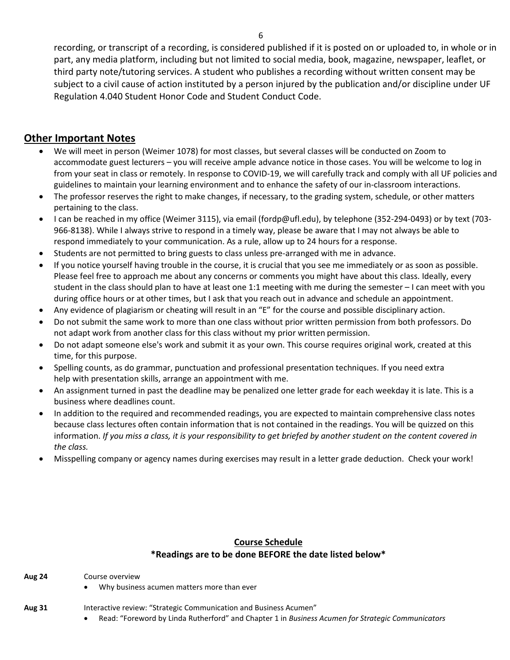recording, or transcript of a recording, is considered published if it is posted on or uploaded to, in whole or in part, any media platform, including but not limited to social media, book, magazine, newspaper, leaflet, or third party note/tutoring services. A student who publishes a recording without written consent may be subject to a civil cause of action instituted by a person injured by the publication and/or discipline under UF Regulation 4.040 Student Honor Code and Student Conduct Code.

# **Other Important Notes**

- We will meet in person (Weimer 1078) for most classes, but several classes will be conducted on Zoom to accommodate guest lecturers – you will receive ample advance notice in those cases. You will be welcome to log in from your seat in class or remotely. In response to COVID-19, we will carefully track and comply with all UF policies and guidelines to maintain your learning environment and to enhance the safety of our in-classroom interactions.
- The professor reserves the right to make changes, if necessary, to the grading system, schedule, or other matters pertaining to the class.
- I can be reached in my office (Weimer 3115), via email (fordp@ufl.edu), by telephone (352-294-0493) or by text (703- 966-8138). While I always strive to respond in a timely way, please be aware that I may not always be able to respond immediately to your communication. As a rule, allow up to 24 hours for a response.
- Students are not permitted to bring guests to class unless pre-arranged with me in advance.
- If you notice yourself having trouble in the course, it is crucial that you see me immediately or as soon as possible. Please feel free to approach me about any concerns or comments you might have about this class. Ideally, every student in the class should plan to have at least one 1:1 meeting with me during the semester – I can meet with you during office hours or at other times, but I ask that you reach out in advance and schedule an appointment.
- Any evidence of plagiarism or cheating will result in an "E" for the course and possible disciplinary action.
- Do not submit the same work to more than one class without prior written permission from both professors. Do not adapt work from another class for this class without my prior written permission.
- Do not adapt someone else's work and submit it as your own. This course requires original work, created at this time, for this purpose.
- Spelling counts, as do grammar, punctuation and professional presentation techniques. If you need extra help with presentation skills, arrange an appointment with me.
- An assignment turned in past the deadline may be penalized one letter grade for each weekday it is late. This is a business where deadlines count.
- In addition to the required and recommended readings, you are expected to maintain comprehensive class notes because class lectures often contain information that is not contained in the readings. You will be quizzed on this information. *If you miss a class, it is your responsibility to get briefed by another student on the content covered in the class.*
- Misspelling company or agency names during exercises may result in a letter grade deduction. Check your work!

#### **Course Schedule \*Readings are to be done BEFORE the date listed below\***

**Aug 24** Course overview

- Why business acumen matters more than ever
- **Aug 31** Interactive review: "Strategic Communication and Business Acumen"
	- Read: "Foreword by Linda Rutherford" and Chapter 1 in *Business Acumen for Strategic Communicators*